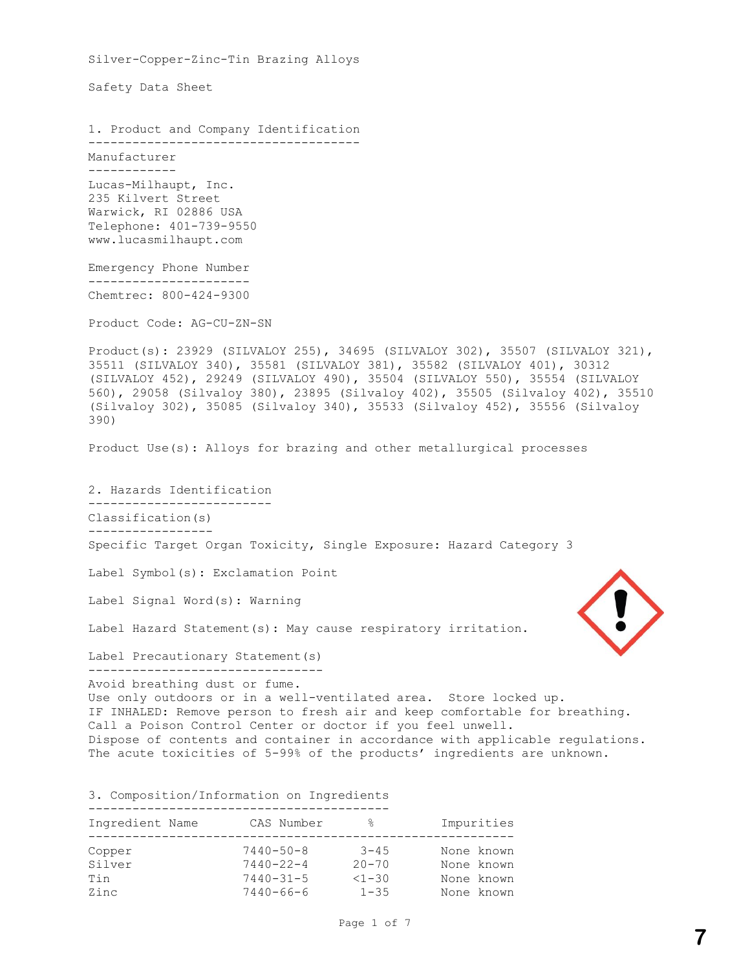Silver-Copper-Zinc-Tin Brazing Alloys Safety Data Sheet 1. Product and Company Identification ------------------------------------- Manufacturer ------------ Lucas-Milhaupt, Inc. 235 Kilvert Street Warwick, RI 02886 USA Telephone: 401-739-9550 www.lucasmilhaupt.com Emergency Phone Number ---------------------- Chemtrec: 800-424-9300 Product Code: AG-CU-ZN-SN Product(s): 23929 (SILVALOY 255), 34695 (SILVALOY 302), 35507 (SILVALOY 321), 35511 (SILVALOY 340), 35581 (SILVALOY 381), 35582 (SILVALOY 401), 30312 (SILVALOY 452), 29249 (SILVALOY 490), 35504 (SILVALOY 550), 35554 (SILVALOY 560), 29058 (Silvaloy 380), 23895 (Silvaloy 402), 35505 (Silvaloy 402), 35510 (Silvaloy 302), 35085 (Silvaloy 340), 35533 (Silvaloy 452), 35556 (Silvaloy 390) Product Use(s): Alloys for brazing and other metallurgical processes 2. Hazards Identification ------------------------- Classification(s) ----------------- Specific Target Organ Toxicity, Single Exposure: Hazard Category 3 Label Symbol(s): Exclamation Point Label Signal Word(s): Warning Label Hazard Statement(s): May cause respiratory irritation. Label Precautionary Statement (s) -------------------------------- Avoid breathing dust or fume. Use only outdoors or in a well-ventilated area. Store locked up. IF INHALED: Remove person to fresh air and keep comfortable for breathing. Call a Poison Control Center or doctor if you feel unwell. Dispose of contents and container in accordance with applicable regulations. The acute toxicities of 5-99% of the products' ingredients are unknown. 3. Composition/Information on Ingredients ----------------------------------------- Ingredient Name CAS Number % Impurities ---------------------------------------------------------- Copper 7440-50-8 3-45 None known

Silver 7440-22-4 20-70 None known<br>
Tin 7440-31-5 <1-30 None known<br>
2inc 7440-66-6 1-35 None known Tin 7440-31-5 <1-30 None known Zinc 7440-66-6 1-35 None known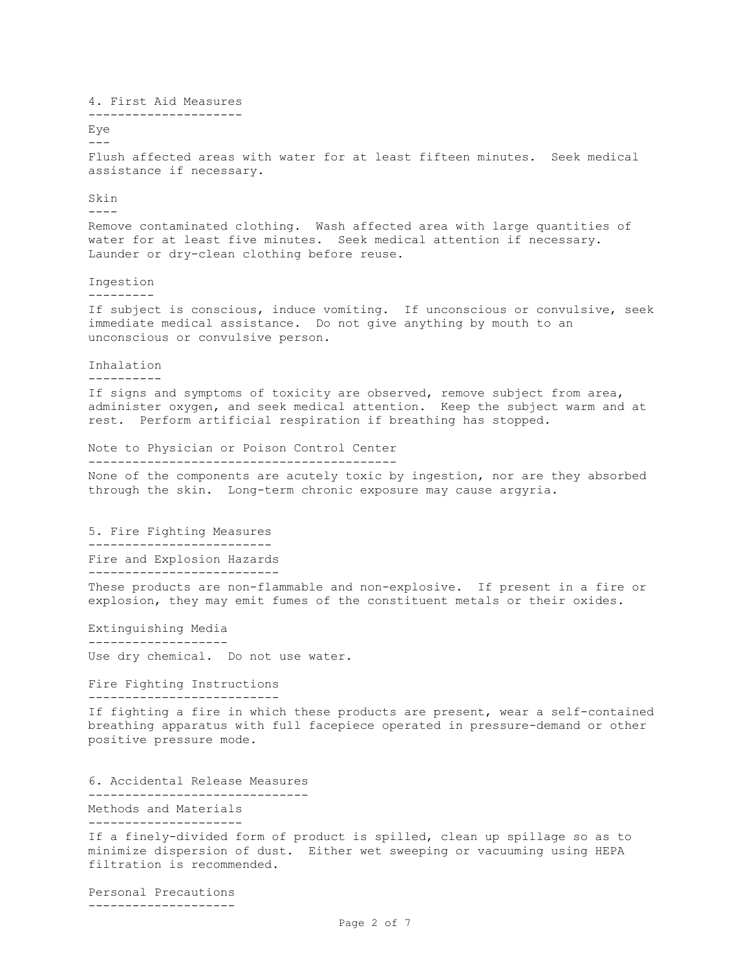4. First Aid Measures --------------------- Eye  $---$ Flush affected areas with water for at least fifteen minutes. Seek medical assistance if necessary. Skin ---- Remove contaminated clothing. Wash affected area with large quantities of water for at least five minutes. Seek medical attention if necessary. Launder or dry-clean clothing before reuse. Ingestion --------- If subject is conscious, induce vomiting. If unconscious or convulsive, seek immediate medical assistance. Do not give anything by mouth to an unconscious or convulsive person. Inhalation ---------- If signs and symptoms of toxicity are observed, remove subject from area, administer oxygen, and seek medical attention. Keep the subject warm and at rest. Perform artificial respiration if breathing has stopped. Note to Physician or Poison Control Center ------------------------------------------ None of the components are acutely toxic by ingestion, nor are they absorbed through the skin. Long-term chronic exposure may cause argyria. 5. Fire Fighting Measures ------------------------- Fire and Explosion Hazards -------------------------- These products are non-flammable and non-explosive. If present in a fire or explosion, they may emit fumes of the constituent metals or their oxides. Extinguishing Media ------------------- Use dry chemical. Do not use water. Fire Fighting Instructions -------------------------- If fighting a fire in which these products are present, wear a self-contained breathing apparatus with full facepiece operated in pressure-demand or other positive pressure mode. 6. Accidental Release Measures ------------------------------ Methods and Materials --------------------- If a finely-divided form of product is spilled, clean up spillage so as to minimize dispersion of dust. Either wet sweeping or vacuuming using HEPA filtration is recommended. Personal Precautions

--------------------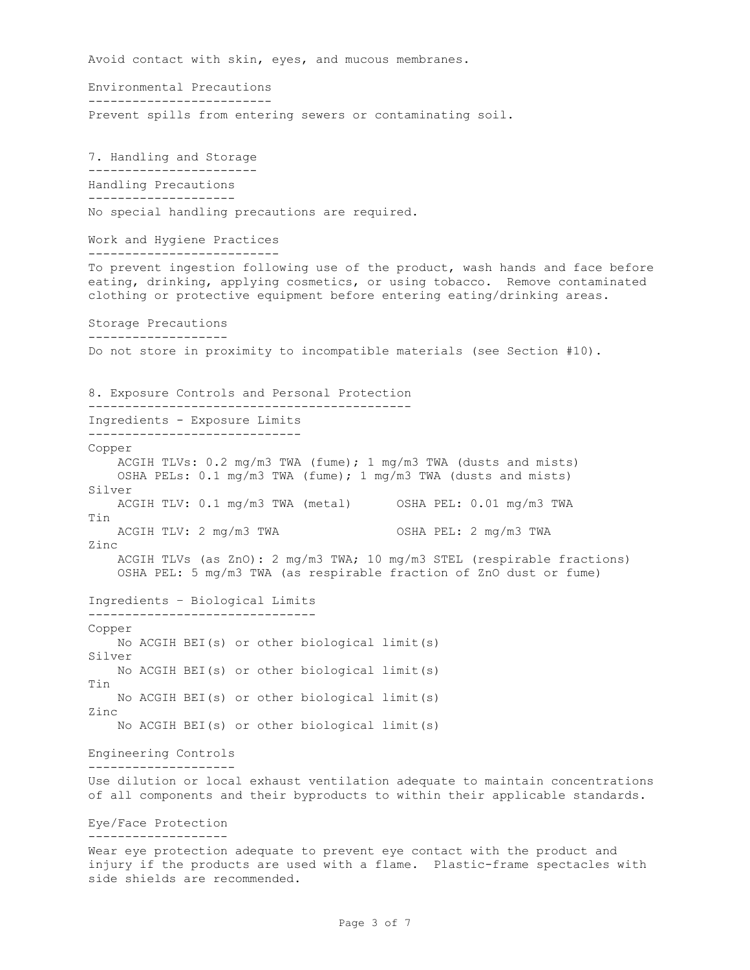Avoid contact with skin, eyes, and mucous membranes. Environmental Precautions ------------------------- Prevent spills from entering sewers or contaminating soil. 7. Handling and Storage ----------------------- Handling Precautions -------------------- No special handling precautions are required. Work and Hygiene Practices -------------------------- To prevent ingestion following use of the product, wash hands and face before eating, drinking, applying cosmetics, or using tobacco. Remove contaminated clothing or protective equipment before entering eating/drinking areas. Storage Precautions ------------------- Do not store in proximity to incompatible materials (see Section #10). 8. Exposure Controls and Personal Protection -------------------------------------------- Ingredients - Exposure Limits ----------------------------- Copper ACGIH TLVs: 0.2 mg/m3 TWA (fume); 1 mg/m3 TWA (dusts and mists) OSHA PELs: 0.1 mg/m3 TWA (fume); 1 mg/m3 TWA (dusts and mists) Silver ACGIH TLV: 0.1 mg/m3 TWA (metal) OSHA PEL: 0.01 mg/m3 TWA Tin ACGIH TLV: 2 mg/m3 TWA OSHA PEL: 2 mg/m3 TWA Zinc ACGIH TLVs (as ZnO): 2 mg/m3 TWA; 10 mg/m3 STEL (respirable fractions) OSHA PEL: 5 mg/m3 TWA (as respirable fraction of ZnO dust or fume) Ingredients – Biological Limits ------------------------------- Copper No ACGIH BEI(s) or other biological limit(s) Silver No ACGIH BEI(s) or other biological limit(s) Tin No ACGIH BEI(s) or other biological limit(s) Zinc No ACGIH BEI(s) or other biological limit(s) Engineering Controls -------------------- Use dilution or local exhaust ventilation adequate to maintain concentrations of all components and their byproducts to within their applicable standards. Eye/Face Protection ------------------- Wear eye protection adequate to prevent eye contact with the product and injury if the products are used with a flame. Plastic-frame spectacles with side shields are recommended.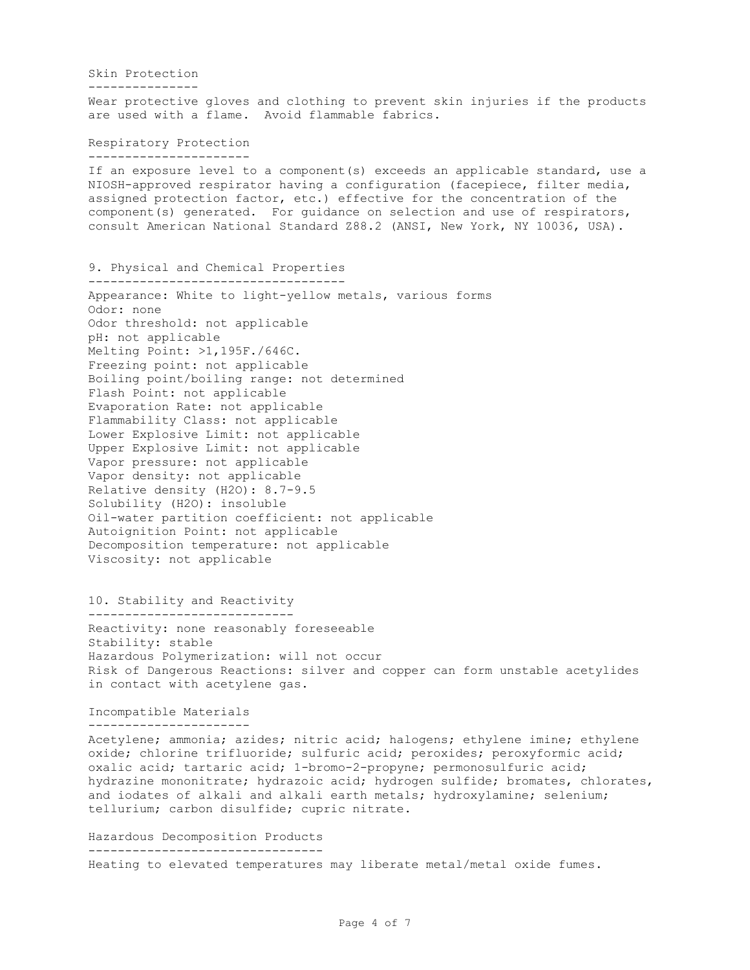Skin Protection --------------- Wear protective gloves and clothing to prevent skin injuries if the products are used with a flame. Avoid flammable fabrics.

Respiratory Protection ----------------------

If an exposure level to a component(s) exceeds an applicable standard, use a NIOSH-approved respirator having a configuration (facepiece, filter media, assigned protection factor, etc.) effective for the concentration of the component(s) generated. For guidance on selection and use of respirators, consult American National Standard Z88.2 (ANSI, New York, NY 10036, USA).

9. Physical and Chemical Properties -----------------------------------

Appearance: White to light-yellow metals, various forms Odor: none Odor threshold: not applicable pH: not applicable Melting Point: >1,195F./646C. Freezing point: not applicable Boiling point/boiling range: not determined Flash Point: not applicable Evaporation Rate: not applicable Flammability Class: not applicable Lower Explosive Limit: not applicable Upper Explosive Limit: not applicable Vapor pressure: not applicable Vapor density: not applicable Relative density (H2O): 8.7-9.5 Solubility (H2O): insoluble Oil-water partition coefficient: not applicable Autoignition Point: not applicable Decomposition temperature: not applicable Viscosity: not applicable

10. Stability and Reactivity

---------------------------- Reactivity: none reasonably foreseeable Stability: stable Hazardous Polymerization: will not occur Risk of Dangerous Reactions: silver and copper can form unstable acetylides in contact with acetylene gas.

Incompatible Materials ----------------------

Acetylene; ammonia; azides; nitric acid; halogens; ethylene imine; ethylene oxide; chlorine trifluoride; sulfuric acid; peroxides; peroxyformic acid; oxalic acid; tartaric acid; 1-bromo-2-propyne; permonosulfuric acid; hydrazine mononitrate; hydrazoic acid; hydrogen sulfide; bromates, chlorates, and iodates of alkali and alkali earth metals; hydroxylamine; selenium; tellurium; carbon disulfide; cupric nitrate.

Hazardous Decomposition Products -------------------------------- Heating to elevated temperatures may liberate metal/metal oxide fumes.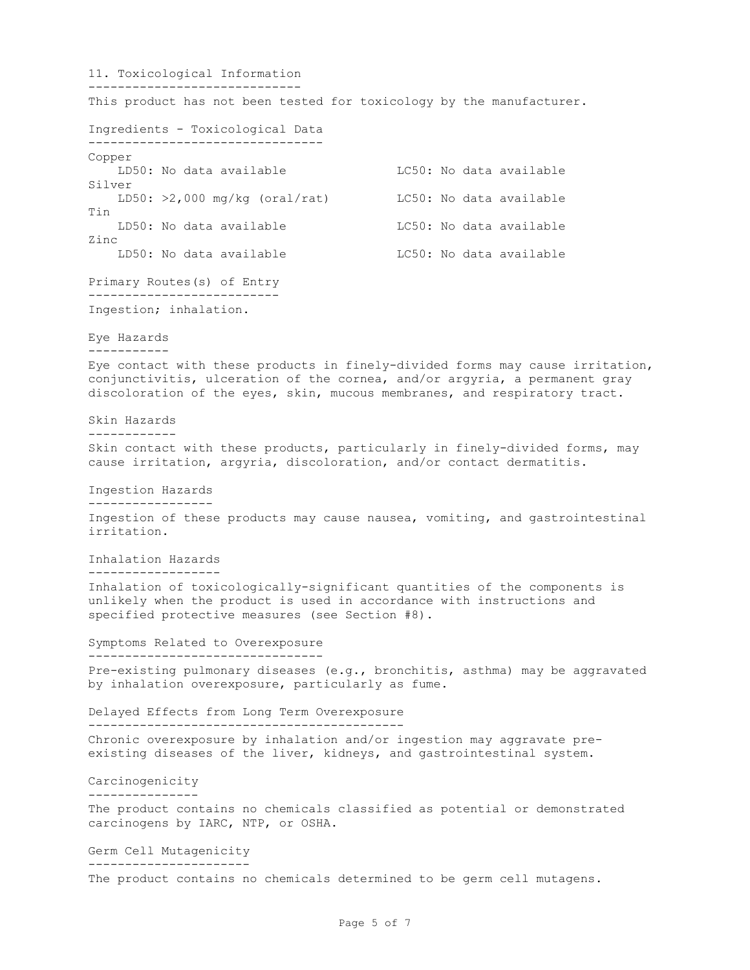11. Toxicological Information ----------------------------- This product has not been tested for toxicology by the manufacturer. Ingredients - Toxicological Data -------------------------------- Copper LD50: No data available LC50: No data available Silver LD50:  $>2,000$  mg/kg (oral/rat) LC50: No data available Tin LD50: No data available LC50: No data available Zinc LD50: No data available LC50: No data available Primary Routes(s) of Entry -------------------------- Ingestion; inhalation. Eye Hazards ----------- Eye contact with these products in finely-divided forms may cause irritation, conjunctivitis, ulceration of the cornea, and/or argyria, a permanent gray discoloration of the eyes, skin, mucous membranes, and respiratory tract. Skin Hazards ------------ Skin contact with these products, particularly in finely-divided forms, may cause irritation, argyria, discoloration, and/or contact dermatitis. Ingestion Hazards ----------------- Ingestion of these products may cause nausea, vomiting, and gastrointestinal irritation. Inhalation Hazards ------------------ Inhalation of toxicologically-significant quantities of the components is unlikely when the product is used in accordance with instructions and specified protective measures (see Section #8). Symptoms Related to Overexposure -------------------------------- Pre-existing pulmonary diseases (e.g., bronchitis, asthma) may be aggravated by inhalation overexposure, particularly as fume. Delayed Effects from Long Term Overexposure ------------------------------------------- Chronic overexposure by inhalation and/or ingestion may aggravate preexisting diseases of the liver, kidneys, and gastrointestinal system. Carcinogenicity --------------- The product contains no chemicals classified as potential or demonstrated carcinogens by IARC, NTP, or OSHA. Germ Cell Mutagenicity ---------------------- The product contains no chemicals determined to be germ cell mutagens.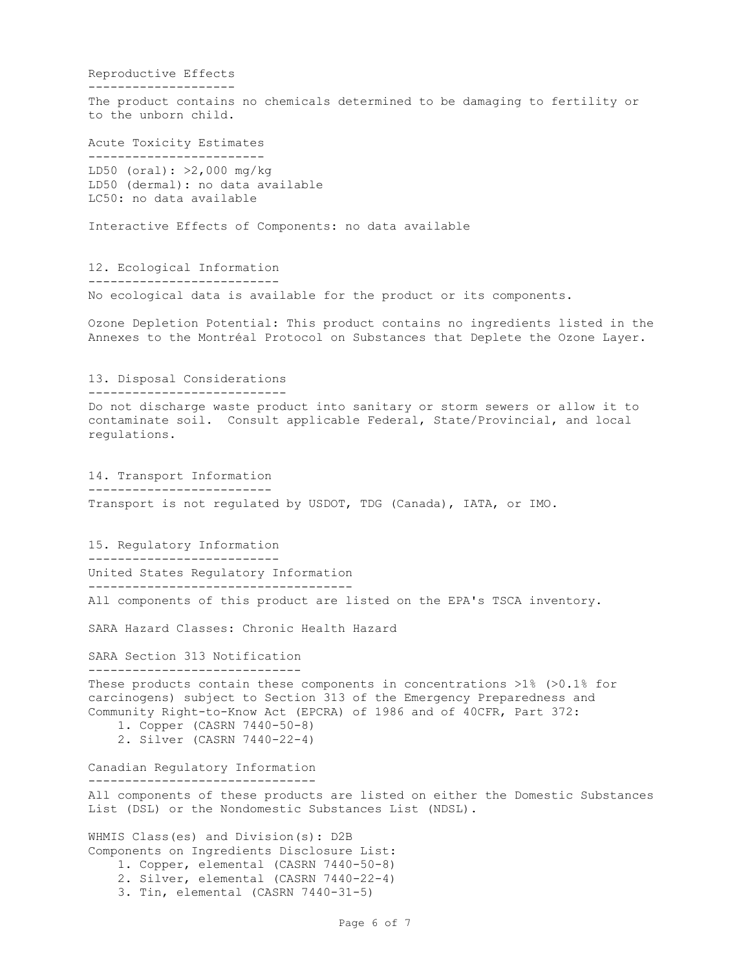Reproductive Effects -------------------- The product contains no chemicals determined to be damaging to fertility or to the unborn child. Acute Toxicity Estimates ------------------------ LD50 (oral): >2,000 mg/kg LD50 (dermal): no data available LC50: no data available Interactive Effects of Components: no data available 12. Ecological Information -------------------------- No ecological data is available for the product or its components. Ozone Depletion Potential: This product contains no ingredients listed in the Annexes to the Montréal Protocol on Substances that Deplete the Ozone Layer. 13. Disposal Considerations --------------------------- Do not discharge waste product into sanitary or storm sewers or allow it to contaminate soil. Consult applicable Federal, State/Provincial, and local regulations. 14. Transport Information ------------------------- Transport is not regulated by USDOT, TDG (Canada), IATA, or IMO. 15. Regulatory Information -------------------------- United States Regulatory Information ------------------------------------ All components of this product are listed on the EPA's TSCA inventory. SARA Hazard Classes: Chronic Health Hazard SARA Section 313 Notification ----------------------------- These products contain these components in concentrations >1% (>0.1% for carcinogens) subject to Section 313 of the Emergency Preparedness and Community Right-to-Know Act (EPCRA) of 1986 and of 40CFR, Part 372: 1. Copper (CASRN 7440-50-8) 2. Silver (CASRN 7440-22-4) Canadian Regulatory Information ------------------------------- All components of these products are listed on either the Domestic Substances List (DSL) or the Nondomestic Substances List (NDSL). WHMIS Class(es) and Division(s): D2B Components on Ingredients Disclosure List: 1. Copper, elemental (CASRN 7440-50-8) 2. Silver, elemental (CASRN 7440-22-4)

Page 6 of 7

3. Tin, elemental (CASRN 7440-31-5)